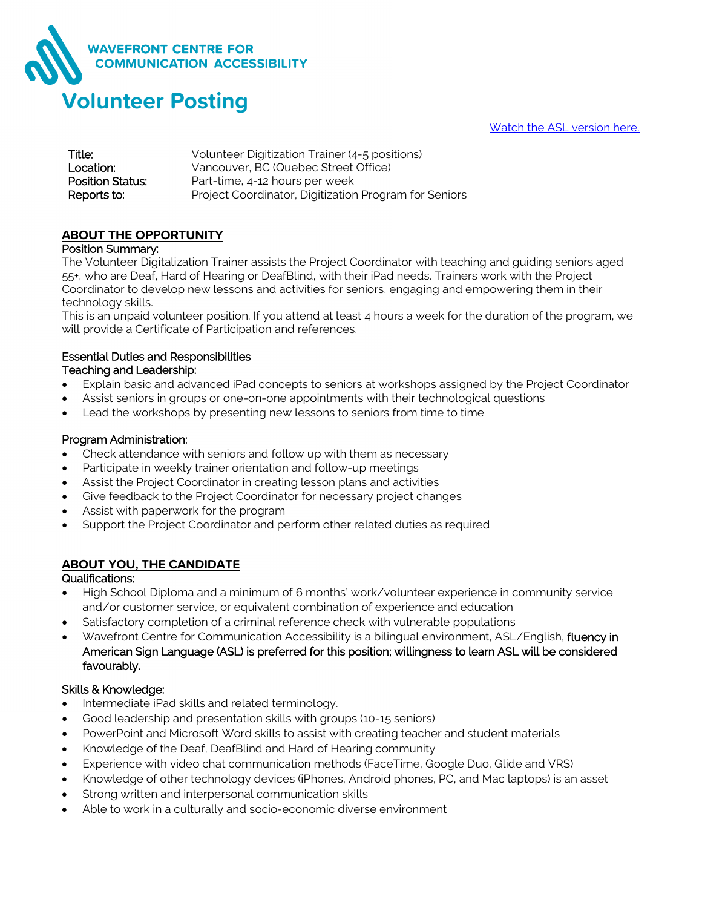

Watch the [ASL version here.](https://youtu.be/bLOX1FO3PXA)

| Title:                  | Volunteer Digitization Trainer (4-5 positions)        |
|-------------------------|-------------------------------------------------------|
| Location:               | Vancouver, BC (Quebec Street Office)                  |
| <b>Position Status:</b> | Part-time, 4-12 hours per week                        |
| Reports to:             | Project Coordinator, Digitization Program for Seniors |

### **ABOUT THE OPPORTUNITY**

#### Position Summary:

The Volunteer Digitalization Trainer assists the Project Coordinator with teaching and guiding seniors aged 55+, who are Deaf, Hard of Hearing or DeafBlind, with their iPad needs. Trainers work with the Project Coordinator to develop new lessons and activities for seniors, engaging and empowering them in their technology skills.

This is an unpaid volunteer position. If you attend at least 4 hours a week for the duration of the program, we will provide a Certificate of Participation and references.

#### Essential Duties and Responsibilities Teaching and Leadership:

- Explain basic and advanced iPad concepts to seniors at workshops assigned by the Project Coordinator
- Assist seniors in groups or one-on-one appointments with their technological questions
- Lead the workshops by presenting new lessons to seniors from time to time

#### Program Administration:

- Check attendance with seniors and follow up with them as necessary
- Participate in weekly trainer orientation and follow-up meetings
- Assist the Project Coordinator in creating lesson plans and activities
- Give feedback to the Project Coordinator for necessary project changes
- Assist with paperwork for the program
- Support the Project Coordinator and perform other related duties as required

# **ABOUT YOU, THE CANDIDATE**

#### Qualifications:

- High School Diploma and a minimum of 6 months' work/volunteer experience in community service and/or customer service, or equivalent combination of experience and education
- Satisfactory completion of a criminal reference check with vulnerable populations
- Wavefront Centre for Communication Accessibility is a bilingual environment, ASL/English, fluency in American Sign Language (ASL) is preferred for this position; willingness to learn ASL will be considered favourably.

### Skills & Knowledge:

- Intermediate iPad skills and related terminology.
- Good leadership and presentation skills with groups (10-15 seniors)
- PowerPoint and Microsoft Word skills to assist with creating teacher and student materials
- Knowledge of the Deaf, DeafBlind and Hard of Hearing community
- Experience with video chat communication methods (FaceTime, Google Duo, Glide and VRS)
- Knowledge of other technology devices (iPhones, Android phones, PC, and Mac laptops) is an asset
- Strong written and interpersonal communication skills
- Able to work in a culturally and socio-economic diverse environment